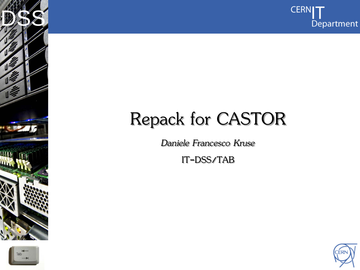

## Repack for CASTOR

*Daniele Francesco Kruse*

IT-DSS/TAB



Internet Services of the Services

DSS<sup>S</sup>

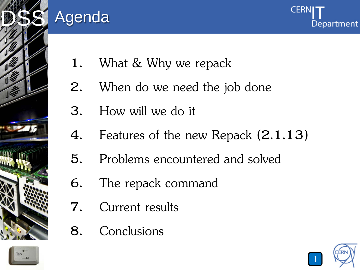

#### Agenda



- 1. What & Why we repack
- 2. When do we need the job done
- 3. How will we do it
- 4. Features of the new Repack (2.1.13)
- 5. Problems encountered and solved
- 6. The repack command
- 7. Current results
- 8. Conclusions



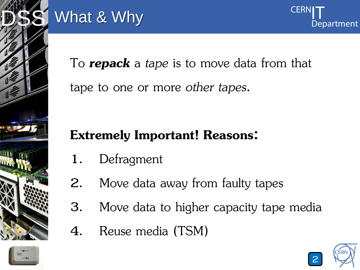

# What & Why

To *repack* a *tape* is to move data from that tape to one or more *other tapes*.

#### **Extremely Important! Reasons:**

- 1. Defragment
- 2. Move data away from faulty tapes
- 3. Move data to higher capacity tape media
- 4. Reuse media (TSM)





**CERI**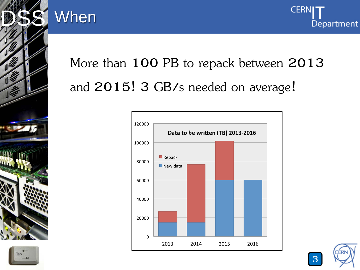

#### When



## More than 100 PB to repack between 2013 and 2015! 3 GB/s needed on average!





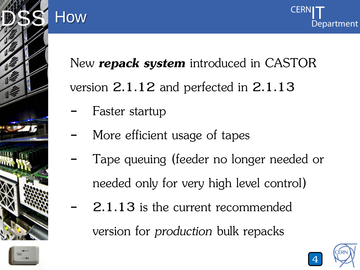



New *repack system* introduced in CASTOR version 2.1.12 and perfected in 2.1.13

Faster startup

How

- More efficient usage of tapes
- Tape queuing (feeder no longer needed or needed only for very high level control)
	- 2.1.13 is the current recommended

version for *production* bulk repacks



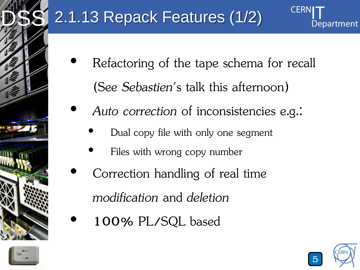

## 2.1.13 Repack Features (1/2)

- Refactoring of the tape schema for recall (See *Sebastien*'s talk this afternoon)
	- *Auto correction* of inconsistencies e.g.:
		- Dual copy file with only one segment
		- Files with wrong copy number
- Correction handling of real time *modification* and *deletion*
	- 100% PL/SQL based



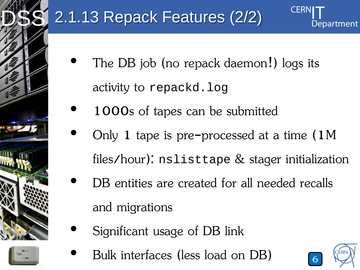

## 2.1.13 Repack Features (2/2)

- The DB job (no repack daemon!) logs its activity to repackd.log
- 1000s of tapes can be submitted
- Only 1 tape is pre-processed at a time (1M files/hour): nslisttape & stager initialization
- DB entities are created for all needed recalls and migrations
- Significant usage of DB link
	- Bulk interfaces (less load on DB) <sup>6</sup>

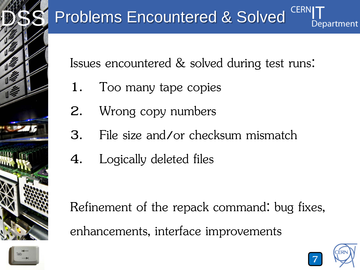

#### **Problems Encountered & Solved** Department

Issues encountered & solved during test runs:

- 1. Too many tape copies
- 2. Wrong copy numbers
- 3. File size and/or checksum mismatch
- 4. Logically deleted files

Refinement of the repack command: bug fixes, enhancements, interface improvements



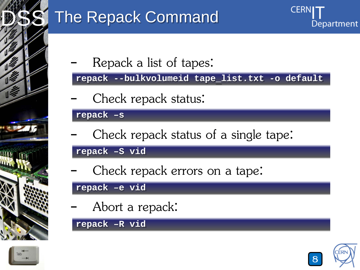

## The Repack Command

Repack a list of tapes:

**repack --bulkvolumeid tape\_list.txt -o default**

Check repack status:

**repack –s**

Check repack status of a single tape:

**repack –S vid**

Check repack errors on a tape:

**repack –e vid**

Abort a repack:

**repack –R vid**





**CERN**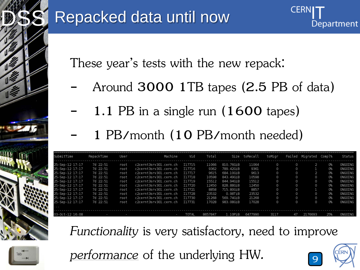

### Repacked data until now

These year's tests with the new repack:

- Around 3000 1TB tapes (2.5 PB of data)
	- 1.1 PB in a single run (1600 tapes)
		- 1 PB/month (10 PB/month needed)

| SubmitTime      | RepackTime | User | Machine                | Vid          | Total          |           | Size toRecall | toMiar  |          | Failed Migrated Compl% |            | Status         |
|-----------------|------------|------|------------------------|--------------|----------------|-----------|---------------|---------|----------|------------------------|------------|----------------|
| 25-Sep-12 17:17 | 7d 22:51   | root | c2cernt3srv301.cern.ch | I17715       | 11066          | 810.76GiB | 11064         | 0       | 0        |                        | 0%         | ONGOING        |
| 25-Sep-12 17:17 | 7d 22:51   | root | c2cernt3srv301.cern.ch | 117716       | 9362           | 789.42GiB | 9361          | 0       | 0        |                        | 0%         | ONGOING        |
| 25-Sep-12 17:17 | 7d 22:51   | root | c2cernt3srv301.cern.ch | I17717       | 9615           | 684.10GiB | 9613          | 0       | 0        |                        | 0%         | <b>ONGOING</b> |
| 25-Sep-12 17:17 | 7d 22:51   | root | c2cernt3srv301.cern.ch | I17718       | 10598          | 843.49G1B | 10598         | 0       | 0        | 0                      | 0%         | ONGOING        |
| 25-Sep-12 17:17 | 7d 22:51   | root | c2cernt3srv301.cern.ch | I17719       | 15512          | 844.94GiB | 15512         | 0       | $\circ$  | 0                      | 0%         | ONGOING        |
| 25-Sep-12 17:17 | 7d 22:51   | root | c2cernt3srv301.cern.ch | I17720       | 12450          | 828,88GiB | 12450         | 0       | 0        | 0                      | 0%         | ONGOING        |
| 25-Sep-12 17:17 | 7d 22:51   | root | c2cernt3srv301.cern.ch | 117721       | 8858           | 715,80GiB | 8857          | 0       | 0        |                        | 0%         | ONGOING        |
| 25-Sep-12 17:17 | 7d 22:51   | root | c2cernt3srv301.cern.ch | I17728       | 23532          | 0.98TiB   | 23532         | $\circ$ | $\Omega$ | 0                      | 0%         | ONGOING        |
| 25-Sep-12 17:17 | 7d 22:51   | root | c2cernt3srv301.cern.ch | 117730       | 21268          | 569.74GiB | 21268         | O       | 0        | 0                      | 0%         | ONGOING        |
| 25-Sep-12 17:17 | 7d 22:51   | root | c2cernt3srv301.cern.ch | 117731       | 17028          | 983.08GiB | 17028         | 0       | 0        | 0                      | 0%         | ONGOING        |
|                 |            |      |                        |              |                |           |               |         |          |                        |            |                |
|                 |            |      |                        |              |                |           |               |         |          |                        |            |                |
| 02 0ct 12 16:00 |            |      |                        | <b>TOTAL</b> | <b>OGE7047</b> | 1 QD i D  | 6477000       | 2117    | 17       | כמפפק וכ               | <b>DEG</b> | ONCOTNC        |

*Functionality* is very satisfactory, need to improve

*performance* of the underlying HW*.* <sup>9</sup>



**CERN**